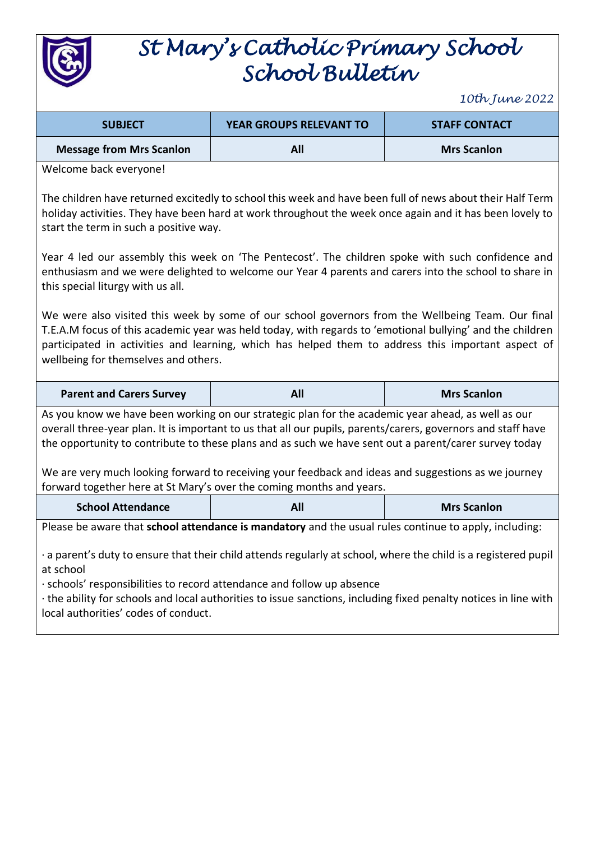

# *St Mary's Catholic Primary School School Bulletin*

*10th June 2022*

| <b>SUBJECT</b>                  | <b>YEAR GROUPS RELEVANT TO</b> | <b>STAFF CONTACT</b> |  |
|---------------------------------|--------------------------------|----------------------|--|
| <b>Message from Mrs Scanlon</b> | <b>All</b>                     | <b>Mrs Scanlon</b>   |  |

Welcome back everyone!

The children have returned excitedly to school this week and have been full of news about their Half Term holiday activities. They have been hard at work throughout the week once again and it has been lovely to start the term in such a positive way.

Year 4 led our assembly this week on 'The Pentecost'. The children spoke with such confidence and enthusiasm and we were delighted to welcome our Year 4 parents and carers into the school to share in this special liturgy with us all.

We were also visited this week by some of our school governors from the Wellbeing Team. Our final T.E.A.M focus of this academic year was held today, with regards to 'emotional bullying' and the children participated in activities and learning, which has helped them to address this important aspect of wellbeing for themselves and others.

| <b>Parent and Carers Survey</b> | All | <b>Mrs Scanlon</b> |
|---------------------------------|-----|--------------------|
|---------------------------------|-----|--------------------|

As you know we have been working on our strategic plan for the academic year ahead, as well as our overall three-year plan. It is important to us that all our pupils, parents/carers, governors and staff have the opportunity to contribute to these plans and as such we have sent out a parent/carer survey today

We are very much looking forward to receiving your feedback and ideas and suggestions as we journey forward together here at St Mary's over the coming months and years.

Please be aware that **school attendance is mandatory** and the usual rules continue to apply, including:

· a parent's duty to ensure that their child attends regularly at school, where the child is a registered pupil at school

· schools' responsibilities to record attendance and follow up absence

· the ability for schools and local authorities to issue sanctions, including fixed penalty notices in line with local authorities' codes of conduct.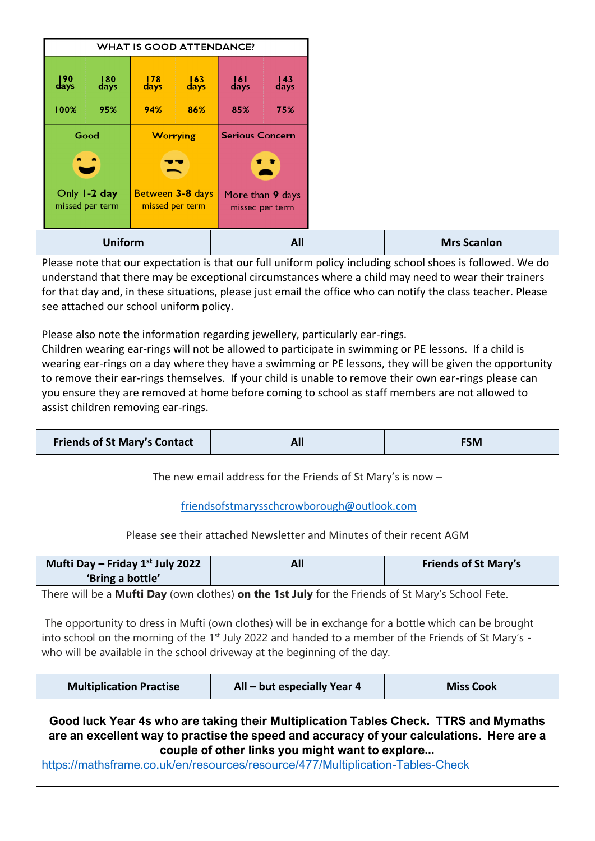|                                                                                                                                                                                                                                                                                                                                                                                                                                                                                                                                                                                                                                                                                                                   | <b>WHAT IS GOOD ATTENDANCE?</b>                             |                                     |                           |                           |                                     |                             |                    |  |  |
|-------------------------------------------------------------------------------------------------------------------------------------------------------------------------------------------------------------------------------------------------------------------------------------------------------------------------------------------------------------------------------------------------------------------------------------------------------------------------------------------------------------------------------------------------------------------------------------------------------------------------------------------------------------------------------------------------------------------|-------------------------------------------------------------|-------------------------------------|---------------------------|---------------------------|-------------------------------------|-----------------------------|--------------------|--|--|
| $\frac{190}{\text{days}}$                                                                                                                                                                                                                                                                                                                                                                                                                                                                                                                                                                                                                                                                                         | $\frac{180}{\text{days}}$                                   | $\frac{178}{\text{days}}$           | $\frac{163}{\text{days}}$ | $\frac{161}{\text{days}}$ | $\frac{143}{\text{days}}$           |                             |                    |  |  |
| 100%                                                                                                                                                                                                                                                                                                                                                                                                                                                                                                                                                                                                                                                                                                              | 95%                                                         | 94%                                 | 86%                       | 85%                       | 75%                                 |                             |                    |  |  |
|                                                                                                                                                                                                                                                                                                                                                                                                                                                                                                                                                                                                                                                                                                                   | Good                                                        | <b>Worrying</b>                     |                           | <b>Serious Concern</b>    |                                     |                             |                    |  |  |
|                                                                                                                                                                                                                                                                                                                                                                                                                                                                                                                                                                                                                                                                                                                   |                                                             |                                     |                           |                           |                                     |                             |                    |  |  |
|                                                                                                                                                                                                                                                                                                                                                                                                                                                                                                                                                                                                                                                                                                                   | Only 1-2 day<br>missed per term                             | Between 3-8 days<br>missed per term |                           |                           | More than 9 days<br>missed per term |                             |                    |  |  |
|                                                                                                                                                                                                                                                                                                                                                                                                                                                                                                                                                                                                                                                                                                                   | <b>Uniform</b>                                              |                                     |                           |                           | All                                 |                             | <b>Mrs Scanlon</b> |  |  |
| for that day and, in these situations, please just email the office who can notify the class teacher. Please<br>see attached our school uniform policy.<br>Please also note the information regarding jewellery, particularly ear-rings.<br>Children wearing ear-rings will not be allowed to participate in swimming or PE lessons. If a child is<br>wearing ear-rings on a day where they have a swimming or PE lessons, they will be given the opportunity<br>to remove their ear-rings themselves. If your child is unable to remove their own ear-rings please can<br>you ensure they are removed at home before coming to school as staff members are not allowed to<br>assist children removing ear-rings. |                                                             |                                     |                           |                           |                                     |                             |                    |  |  |
| <b>Friends of St Mary's Contact</b><br>All                                                                                                                                                                                                                                                                                                                                                                                                                                                                                                                                                                                                                                                                        |                                                             |                                     |                           |                           |                                     |                             | <b>FSM</b>         |  |  |
|                                                                                                                                                                                                                                                                                                                                                                                                                                                                                                                                                                                                                                                                                                                   |                                                             |                                     |                           |                           |                                     |                             |                    |  |  |
| The new email address for the Friends of St Mary's is now $-$                                                                                                                                                                                                                                                                                                                                                                                                                                                                                                                                                                                                                                                     |                                                             |                                     |                           |                           |                                     |                             |                    |  |  |
|                                                                                                                                                                                                                                                                                                                                                                                                                                                                                                                                                                                                                                                                                                                   | friendsofstmarysschcrowborough@outlook.com                  |                                     |                           |                           |                                     |                             |                    |  |  |
| Please see their attached Newsletter and Minutes of their recent AGM                                                                                                                                                                                                                                                                                                                                                                                                                                                                                                                                                                                                                                              |                                                             |                                     |                           |                           |                                     |                             |                    |  |  |
|                                                                                                                                                                                                                                                                                                                                                                                                                                                                                                                                                                                                                                                                                                                   | Mufti Day - Friday 1st July 2022<br>All<br>'Bring a bottle' |                                     |                           |                           |                                     | <b>Friends of St Mary's</b> |                    |  |  |
| There will be a <b>Mufti Day</b> (own clothes) <b>on the 1st July</b> for the Friends of St Mary's School Fete.                                                                                                                                                                                                                                                                                                                                                                                                                                                                                                                                                                                                   |                                                             |                                     |                           |                           |                                     |                             |                    |  |  |
| The opportunity to dress in Mufti (own clothes) will be in exchange for a bottle which can be brought<br>into school on the morning of the 1 <sup>st</sup> July 2022 and handed to a member of the Friends of St Mary's -<br>who will be available in the school driveway at the beginning of the day.                                                                                                                                                                                                                                                                                                                                                                                                            |                                                             |                                     |                           |                           |                                     |                             |                    |  |  |
|                                                                                                                                                                                                                                                                                                                                                                                                                                                                                                                                                                                                                                                                                                                   | <b>Multiplication Practise</b>                              |                                     |                           |                           |                                     | All – but especially Year 4 | <b>Miss Cook</b>   |  |  |
| Good luck Year 4s who are taking their Multiplication Tables Check. TTRS and Mymaths<br>are an excellent way to practise the speed and accuracy of your calculations. Here are a<br>couple of other links you might want to explore<br>https://mathsframe.co.uk/en/resources/resource/477/Multiplication-Tables-Check                                                                                                                                                                                                                                                                                                                                                                                             |                                                             |                                     |                           |                           |                                     |                             |                    |  |  |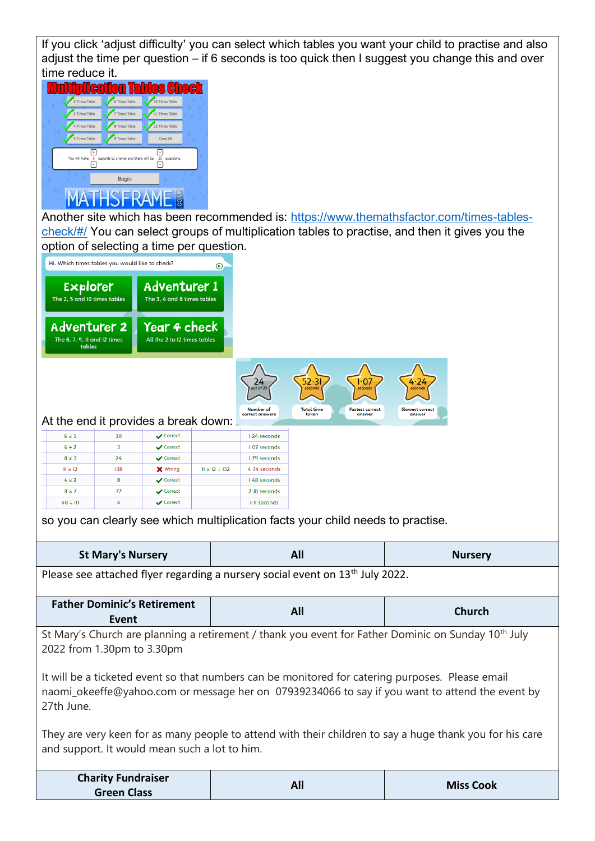If you click 'adjust difficulty' you can select which tables you want your child to practise and also adjust the time per question – if 6 seconds is too quick then I suggest you change this and over time reduce it.



Another site which has been recommended is: [https://www.themathsfactor.com/times-tables](https://www.themathsfactor.com/times-tables-check/#/)[check/#/](https://www.themathsfactor.com/times-tables-check/#/) You can select groups of multiplication tables to practise, and then it gives you the option of selecting a time per question.

|                                                               | Hi. Which times tables you would like to check?                                                                                      |                                               | $\odot$              |                                     |                                                                                                                                                                                                     |                 |                                                                                                          |
|---------------------------------------------------------------|--------------------------------------------------------------------------------------------------------------------------------------|-----------------------------------------------|----------------------|-------------------------------------|-----------------------------------------------------------------------------------------------------------------------------------------------------------------------------------------------------|-----------------|----------------------------------------------------------------------------------------------------------|
| Explorer<br>The 2, 5 and 10 times tables                      |                                                                                                                                      | Adventurer 1<br>The 3, 4 and 8 times tables   |                      |                                     |                                                                                                                                                                                                     |                 |                                                                                                          |
| <b>Adventurer 2</b><br>The 6, 7, 9, II and I2 times<br>tables |                                                                                                                                      | Year 4 check<br>All the 2 to I2 times tables  |                      |                                     |                                                                                                                                                                                                     |                 |                                                                                                          |
|                                                               |                                                                                                                                      |                                               |                      | 24<br>out of 25<br><b>Number</b> of | 52·31<br>l 07<br>seconds<br>seconds<br><b>Total time</b><br><b>Fastest correct</b>                                                                                                                  | Slowest correct |                                                                                                          |
|                                                               |                                                                                                                                      | At the end it provides a break down:          |                      | correct answers                     | taken<br>answer                                                                                                                                                                                     | answer          |                                                                                                          |
| $6 \times 5$                                                  | 30                                                                                                                                   | Correct                                       |                      | I-24 seconds                        |                                                                                                                                                                                                     |                 |                                                                                                          |
| 6 ÷ 2                                                         | 3                                                                                                                                    | ✔ Correct                                     |                      | 1.07 seconds                        |                                                                                                                                                                                                     |                 |                                                                                                          |
| $8 \times 3$                                                  | 24                                                                                                                                   | ✔ Correct                                     |                      | 1.79 seconds                        |                                                                                                                                                                                                     |                 |                                                                                                          |
| $II \times I2$                                                | 138                                                                                                                                  | <b>X</b> Wrong                                | $11 \times 12 = 132$ | 4.74 seconds                        |                                                                                                                                                                                                     |                 |                                                                                                          |
| $4 \times 2$                                                  | 8                                                                                                                                    | $\sqrt{\phantom{a}}$ Correct                  |                      | 1-48 seconds                        |                                                                                                                                                                                                     |                 |                                                                                                          |
| $II \times 7$                                                 | 77                                                                                                                                   | Correct                                       |                      | $2-18$ seconds                      |                                                                                                                                                                                                     |                 |                                                                                                          |
| $40 \div 10$                                                  | 4                                                                                                                                    | Correct                                       |                      | I-II seconds                        |                                                                                                                                                                                                     |                 |                                                                                                          |
|                                                               | so you can clearly see which multiplication facts your child needs to practise.<br>All<br><b>St Mary's Nursery</b><br><b>Nursery</b> |                                               |                      |                                     |                                                                                                                                                                                                     |                 |                                                                                                          |
|                                                               |                                                                                                                                      |                                               |                      |                                     |                                                                                                                                                                                                     |                 |                                                                                                          |
|                                                               |                                                                                                                                      |                                               |                      |                                     | Please see attached flyer regarding a nursery social event on 13 <sup>th</sup> July 2022.                                                                                                           |                 |                                                                                                          |
|                                                               | Event                                                                                                                                | <b>Father Dominic's Retirement</b>            |                      |                                     | All                                                                                                                                                                                                 |                 | <b>Church</b>                                                                                            |
| 2022 from 1.30pm to 3.30pm                                    |                                                                                                                                      |                                               |                      |                                     | St Mary's Church are planning a retirement / thank you event for Father Dominic on Sunday 10 <sup>th</sup> July                                                                                     |                 |                                                                                                          |
| 27th June.                                                    |                                                                                                                                      |                                               |                      |                                     | It will be a ticketed event so that numbers can be monitored for catering purposes. Please email<br>naomi_okeeffe@yahoo.com or message her on 07939234066 to say if you want to attend the event by |                 |                                                                                                          |
|                                                               |                                                                                                                                      | and support. It would mean such a lot to him. |                      |                                     |                                                                                                                                                                                                     |                 | They are very keen for as many people to attend with their children to say a huge thank you for his care |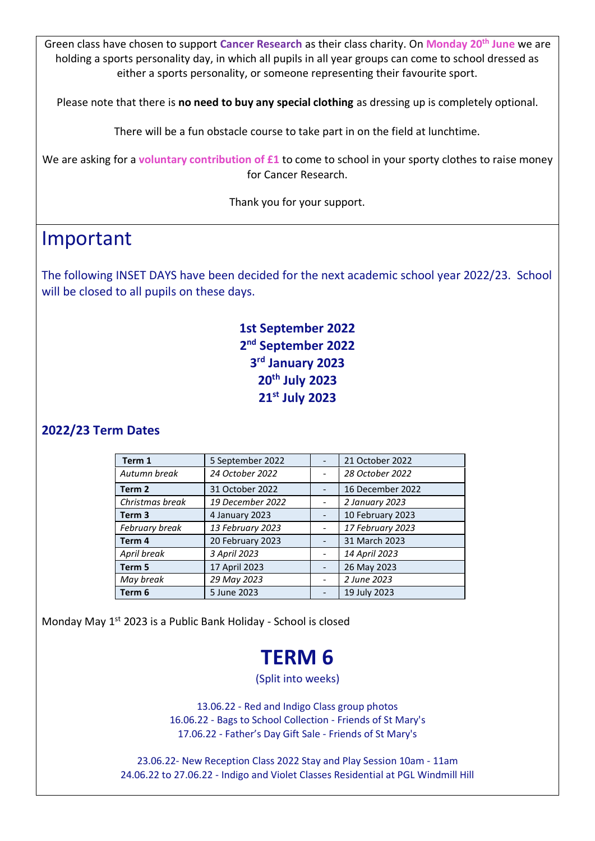Green class have chosen to support **Cancer Research** as their class charity. On **Monday 20th June** we are holding a sports personality day, in which all pupils in all year groups can come to school dressed as either a sports personality, or someone representing their favourite sport.

Please note that there is **no need to buy any special clothing** as dressing up is completely optional.

There will be a fun obstacle course to take part in on the field at lunchtime.

We are asking for a **voluntary contribution of £1** to come to school in your sporty clothes to raise money for Cancer Research.

Thank you for your support.

### Important

The following INSET DAYS have been decided for the next academic school year 2022/23. School will be closed to all pupils on these days.

#### **1st September 2022 2 nd September 2022 3 rd January 2023 20th July 2023 21st July 2023**

#### **2022/23 Term Dates**

| Term 1            | 5 September 2022 | 21 October 2022  |
|-------------------|------------------|------------------|
| Autumn break      | 24 October 2022  | 28 October 2022  |
| Term <sub>2</sub> | 31 October 2022  | 16 December 2022 |
| Christmas break   | 19 December 2022 | 2 January 2023   |
| Term <sub>3</sub> | 4 January 2023   | 10 February 2023 |
| February break    | 13 February 2023 | 17 February 2023 |
| Term 4            | 20 February 2023 | 31 March 2023    |
| April break       | 3 April 2023     | 14 April 2023    |
| Term 5            | 17 April 2023    | 26 May 2023      |
| May break         | 29 May 2023      | 2 June 2023      |
| Term <sub>6</sub> | 5 June 2023      | 19 July 2023     |

Monday May 1<sup>st</sup> 2023 is a Public Bank Holiday - School is closed

## **TERM 6**

(Split into weeks)

13.06.22 - Red and Indigo Class group photos 16.06.22 - Bags to School Collection - Friends of St Mary's 17.06.22 - Father's Day Gift Sale - Friends of St Mary's

23.06.22- New Reception Class 2022 Stay and Play Session 10am - 11am 24.06.22 to 27.06.22 - Indigo and Violet Classes Residential at PGL Windmill Hill